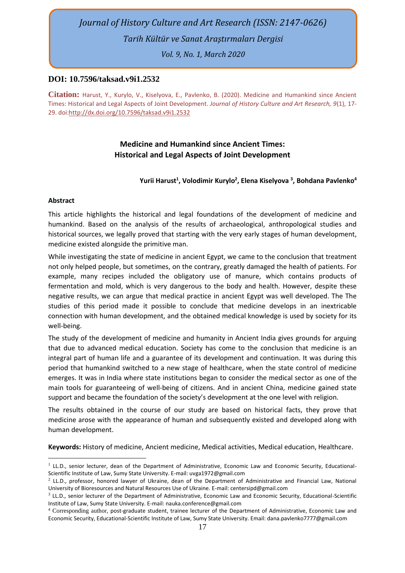# *Journal of History Culture and Art Research (ISSN: 2147-0626) Tarih Kültür ve Sanat Araştırmaları Dergisi*

*Vol. 9, No. 1, March 2020*

### **DOI: 10.7596/taksad.v9i1.2532**

**Citation:** Harust, Y., Kurylo, V., Kiselyova, E., Pavlenko, B. (2020). Medicine and Humankind since Ancient Times: Historical and Legal Aspects of Joint Development. *Journal of History Culture and Art Research, 9*(1), 17- 29. doi[:http://dx.doi.org/10.7596/taksad.v9i1.2](http://dx.doi.org/10.7596/taksad.v8i4.2316)532

# **Medicine and Humankind since Ancient Times: Historical and Legal Aspects of Joint Development**

## **Yurii Harust<sup>1</sup> , Volodimir Kurylo<sup>2</sup> , Elena Kiselyova <sup>3</sup> , Bohdana Pavlenko<sup>4</sup>**

#### **Abstract**

This article highlights the historical and legal foundations of the development of medicine and humankind. Based on the analysis of the results of archaeological, anthropological studies and historical sources, we legally proved that starting with the very early stages of human development, medicine existed alongside the primitive man.

While investigating the state of medicine in ancient Egypt, we came to the conclusion that treatment not only helped people, but sometimes, on the contrary, greatly damaged the health of patients. For example, many recipes included the obligatory use of manure, which contains products of fermentation and mold, which is very dangerous to the body and health. However, despite these negative results, we can argue that medical practice in ancient Egypt was well developed. The The studies of this period made it possible to conclude that medicine develops in an inextricable connection with human development, and the obtained medical knowledge is used by society for its well-being.

The study of the development of medicine and humanity in Ancient India gives grounds for arguing that due to advanced medical education. Society has come to the conclusion that medicine is an integral part of human life and a guarantee of its development and continuation. It was during this period that humankind switched to a new stage of healthcare, when the state control of medicine emerges. It was in India where state institutions began to consider the medical sector as one of the main tools for guaranteeing of well-being of citizens. And in ancient China, medicine gained state support and became the foundation of the society's development at the one level with religion.

The results obtained in the course of our study are based on historical facts, they prove that medicine arose with the appearance of human and subsequently existed and developed along with human development.

**Keywords:** History of medicine, Ancient medicine, Medical activities, Medical education, Healthcare.

<sup>&</sup>lt;sup>1</sup> LL.D., senior lecturer, dean of the Department of Administrative, Economic Law and Economic Security, Educational-Scientific Institute of Law, Sumy State University. E-mail: uvga1972@gmail.com

<sup>2</sup> LL.D., professor, honored lawyer of Ukraine, dean of the Department of Administrative and Financial Law, National University of Bioresources and Natural Resources Use of Ukraine. E-mail: centersipd@gmail.com

<sup>3</sup> LL.D., senior lecturer of the Department of Administrative, Economic Law and Economic Security, Educational-Scientific Institute of Law, Sumy State University. E-mail: nauka.conference@gmail.com

<sup>4</sup> Corresponding author, post-graduate student, trainee lecturer of the Department of Administrative, Economic Law and Economic Security, Educational-Scientific Institute of Law, Sumy State University. Email: [dana.pavlenko7777@gmail.com](mailto:dana.pavlenko7777@gmail.com)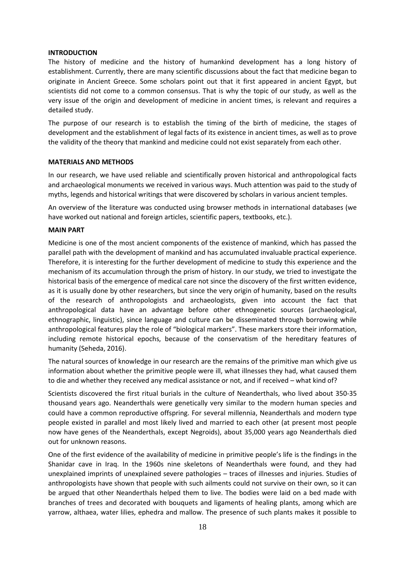#### **INTRODUCTION**

The history of medicine and the history of humankind development has a long history of establishment. Currently, there are many scientific discussions about the fact that medicine began to originate in Ancient Greece. Some scholars point out that it first appeared in ancient Egypt, but scientists did not come to a common consensus. That is why the topic of our study, as well as the very issue of the origin and development of medicine in ancient times, is relevant and requires a detailed study.

The purpose of our research is to establish the timing of the birth of medicine, the stages of development and the establishment of legal facts of its existence in ancient times, as well as to prove the validity of the theory that mankind and medicine could not exist separately from each other.

#### **MATERIALS AND METHODS**

In our research, we have used reliable and scientifically proven historical and anthropological facts and archaeological monuments we received in various ways. Much attention was paid to the study of myths, legends and historical writings that were discovered by scholars in various ancient temples.

An overview of the literature was conducted using browser methods in international databases (we have worked out national and foreign articles, scientific papers, textbooks, etc.).

#### **MAIN PART**

Medicine is one of the most ancient components of the existence of mankind, which has passed the parallel path with the development of mankind and has accumulated invaluable practical experience. Therefore, it is interesting for the further development of medicine to study this experience and the mechanism of its accumulation through the prism of history. In our study, we tried to investigate the historical basis of the emergence of medical care not since the discovery of the first written evidence, as it is usually done by other researchers, but since the very origin of humanity, based on the results of the research of anthropologists and archaeologists, given into account the fact that anthropological data have an advantage before other ethnogenetic sources (archaeological, ethnographic, linguistic), since language and culture can be disseminated through borrowing while anthropological features play the role of "biological markers". These markers store their information, including remote historical epochs, because of the conservatism of the hereditary features of humanity (Seheda, 2016).

The natural sources of knowledge in our research are the remains of the primitive man which give us information about whether the primitive people were ill, what illnesses they had, what caused them to die and whether they received any medical assistance or not, and if received – what kind of?

Scientists discovered the first ritual burials in the culture of Neanderthals, who lived about 350-35 thousand years ago. Neanderthals were genetically very similar to the modern human species and could have a common reproductive offspring. For several millennia, Neanderthals and modern type people existed in parallel and most likely lived and married to each other (at present most people now have genes of the Neanderthals, except Negroids), about 35,000 years ago Neanderthals died out for unknown reasons.

One of the first evidence of the availability of medicine in primitive people's life is the findings in the Shanidar cave in Iraq. In the 1960s nine skeletons of Neanderthals were found, and they had unexplained imprints of unexplained severe pathologies – traces of illnesses and injuries. Studies of anthropologists have shown that people with such ailments could not survive on their own, so it can be argued that other Neanderthals helped them to live. The bodies were laid on a bed made with branches of trees and decorated with bouquets and ligaments of healing plants, among which are yarrow, althaea, water lilies, ephedra and mallow. The presence of such plants makes it possible to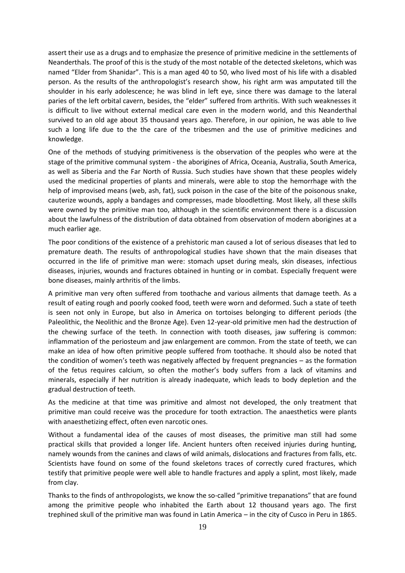assert their use as a drugs and to emphasize the presence of primitive medicine in the settlements of Neanderthals. The proof of this is the study of the most notable of the detected skeletons, which was named "Elder from Shanidar". This is a man aged 40 to 50, who lived most of his life with a disabled person. As the results of the anthropologist's research show, his right arm was amputated till the shoulder in his early adolescence; he was blind in left eye, since there was damage to the lateral paries of the left orbital cavern, besides, the "elder" suffered from arthritis. With such weaknesses it is difficult to live without external medical care even in the modern world, and this Neanderthal survived to an old age about 35 thousand years ago. Therefore, in our opinion, he was able to live such a long life due to the the care of the tribesmen and the use of primitive medicines and knowledge.

One of the methods of studying primitiveness is the observation of the peoples who were at the stage of the primitive communal system - the aborigines of Africa, Oceania, Australia, South America, as well as Siberia and the Far North of Russia. Such studies have shown that these peoples widely used the medicinal properties of plants and minerals, were able to stop the hemorrhage with the help of improvised means (web, ash, fat), suck poison in the case of the bite of the poisonous snake, cauterize wounds, apply a bandages and compresses, made bloodletting. Most likely, all these skills were owned by the primitive man too, although in the scientific environment there is a discussion about the lawfulness of the distribution of data obtained from observation of modern aborigines at a much earlier age.

The poor conditions of the existence of a prehistoric man caused a lot of serious diseases that led to premature death. The results of anthropological studies have shown that the main diseases that occurred in the life of primitive man were: stomach upset during meals, skin diseases, infectious diseases, injuries, wounds and fractures obtained in hunting or in combat. Especially frequent were bone diseases, mainly arthritis of the limbs.

A primitive man very often suffered from toothache and various ailments that damage teeth. As a result of eating rough and poorly cooked food, teeth were worn and deformed. Such a state of teeth is seen not only in Europe, but also in America on tortoises belonging to different periods (the Paleolithic, the Neolithic and the Bronze Age). Even 12-year-old primitive men had the destruction of the chewing surface of the teeth. In connection with tooth diseases, jaw suffering is common: inflammation of the periosteum and jaw enlargement are common. From the state of teeth, we can make an idea of how often primitive people suffered from toothache. It should also be noted that the condition of women's teeth was negatively affected by frequent pregnancies – as the formation of the fetus requires calcium, so often the mother's body suffers from a lack of vitamins and minerals, especially if her nutrition is already inadequate, which leads to body depletion and the gradual destruction of teeth.

As the medicine at that time was primitive and almost not developed, the only treatment that primitive man could receive was the procedure for tooth extraction. The anaesthetics were plants with anaesthetizing effect, often even narcotic ones.

Without a fundamental idea of the causes of most diseases, the primitive man still had some practical skills that provided a longer life. Ancient hunters often received injuries during hunting, namely wounds from the canines and claws of wild animals, dislocations and fractures from falls, etc. Scientists have found on some of the found skeletons traces of correctly cured fractures, which testify that primitive people were well able to handle fractures and apply a splint, most likely, made from clay.

Thanks to the finds of anthropologists, we know the so-called "primitive trepanations" that are found among the primitive people who inhabited the Earth about 12 thousand years ago. The first trephined skull of the primitive man was found in Latin America – in the city of Cusco in Peru in 1865.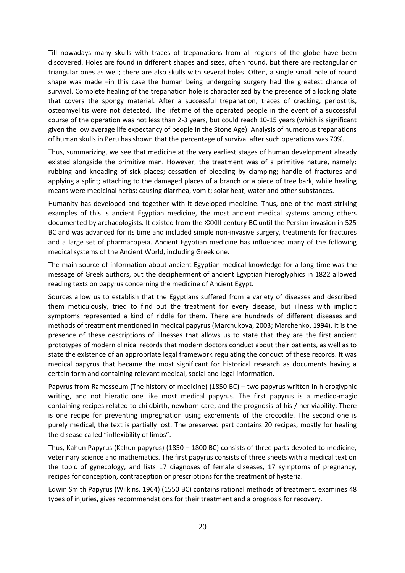Till nowadays many skulls with traces of trepanations from all regions of the globe have been discovered. Holes are found in different shapes and sizes, often round, but there are rectangular or triangular ones as well; there are also skulls with several holes. Often, a single small hole of round shape was made –in this case the human being undergoing surgery had the greatest chance of survival. Complete healing of the trepanation hole is characterized by the presence of a locking plate that covers the spongy material. After a successful trepanation, traces of cracking, periostitis, osteomyelitis were not detected. The lifetime of the operated people in the event of a successful course of the operation was not less than 2-3 years, but could reach 10-15 years (which is significant given the low average life expectancy of people in the Stone Age). Analysis of numerous trepanations of human skulls in Peru has shown that the percentage of survival after such operations was 70%.

Thus, summarizing, we see that medicine at the very earliest stages of human development already existed alongside the primitive man. However, the treatment was of a primitive nature, namely: rubbing and kneading of sick places; cessation of bleeding by clamping; handle of fractures and applying a splint; attaching to the damaged places of a branch or a piece of tree bark, while healing means were medicinal herbs: causing diarrhea, vomit; solar heat, water and other substances.

Humanity has developed and together with it developed medicine. Thus, one of the most striking examples of this is ancient Egyptian medicine, the most ancient medical systems among others documented by archaeologists. It existed from the XXXIII century BC until the Persian invasion in 525 BC and was advanced for its time and included simple non-invasive surgery, treatments for fractures and a large set of pharmacopeia. Ancient Egyptian medicine has influenced many of the following medical systems of the Ancient World, including Greek one.

The main source of information about ancient Egyptian medical knowledge for a long time was the message of Greek authors, but the decipherment of ancient Egyptian hieroglyphics in 1822 allowed reading texts on papyrus concerning the medicine of Ancient Egypt.

Sources allow us to establish that the Egyptians suffered from a variety of diseases and described them meticulously, tried to find out the treatment for every disease, but illness with implicit symptoms represented a kind of riddle for them. There are hundreds of different diseases and methods of treatment mentioned in medical papyrus (Marchukova, 2003; Marchenko, 1994). It is the presence of these descriptions of illnesses that allows us to state that they are the first ancient prototypes of modern clinical records that modern doctors conduct about their patients, as well as to state the existence of an appropriate legal framework regulating the conduct of these records. It was medical papyrus that became the most significant for historical research as documents having a certain form and containing relevant medical, social and legal information.

Papyrus from Ramesseum (The history of medicine) (1850 BC) – two papyrus written in hieroglyphic writing, and not hieratic one like most medical papyrus. The first papyrus is a medico-magic containing recipes related to childbirth, newborn care, and the prognosis of his / her viability. There is one recipe for preventing impregnation using excrements of the crocodile. The second one is purely medical, the text is partially lost. The preserved part contains 20 recipes, mostly for healing the disease called "inflexibility of limbs".

Thus, Kahun Papyrus (Kahun papyrus) (1850 – 1800 BC) consists of three parts devoted to medicine, veterinary science and mathematics. The first papyrus consists of three sheets with a medical text on the topic of gynecology, and lists 17 diagnoses of female diseases, 17 symptoms of pregnancy, recipes for conception, contraception or prescriptions for the treatment of hysteria.

Edwin Smith Papyrus (Wilkins, 1964) (1550 BC) contains rational methods of treatment, examines 48 types of injuries, gives recommendations for their treatment and a prognosis for recovery.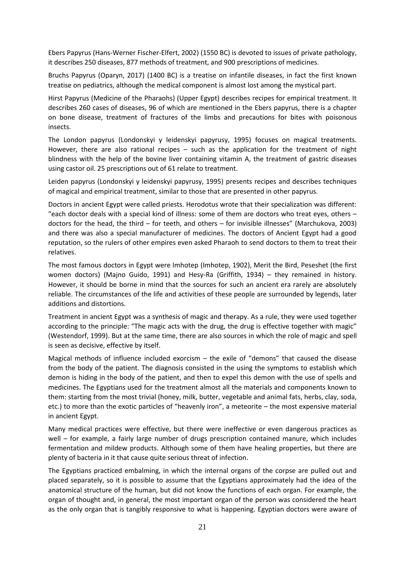Ebers Papyrus (Hans-Werner Fischer-Elfert, 2002) (1550 BC) is devoted to issues of private pathology, it describes 250 diseases, 877 methods of treatment, and 900 prescriptions of medicines.

Bruchs Papyrus (Oparyn, 2017) (1400 BC) is a treatise on infantile diseases, in fact the first known treatise on pediatrics, although the medical component is almost lost among the mystical part.

Hirst Papyrus (Medicine of the Pharaohs) (Upper Egypt) describes recipes for empirical treatment. It describes 260 cases of diseases, 96 of which are mentioned in the Ebers papyrus, there is a chapter on bone disease, treatment of fractures of the limbs and precautions for bites with poisonous insects.

The London papyrus (Londonskyi y leidenskyi papyrusy, 1995) focuses on magical treatments. However, there are also rational recipes – such as the application for the treatment of night blindness with the help of the bovine liver containing vitamin A, the treatment of gastric diseases using castor oil. 25 prescriptions out of 61 relate to treatment.

Leiden papyrus (Londonskyi y leidenskyi papyrusy, 1995) presents recipes and describes techniques of magical and empirical treatment, similar to those that are presented in other papyrus.

Doctors in ancient Egypt were called priests. Herodotus wrote that their specialization was different: "each doctor deals with a special kind of illness: some of them are doctors who treat eyes, others – doctors for the head, the third – for teeth, and others – for invisible illnesses" (Marchukova, 2003) and there was also a special manufacturer of medicines. The doctors of Ancient Egypt had a good reputation, so the rulers of other empires even asked Pharaoh to send doctors to them to treat their relatives.

The most famous doctors in Egypt were Imhotep (Imhotep, 1902), Merit the Bird, Peseshet (the first women doctors) (Majno Guido, 1991) and Hesy-Ra (Griffith, 1934) – they remained in history. However, it should be borne in mind that the sources for such an ancient era rarely are absolutely reliable. The circumstances of the life and activities of these people are surrounded by legends, later additions and distortions.

Treatment in ancient Egypt was a synthesis of magic and therapy. As a rule, they were used together according to the principle: "The magic acts with the drug, the drug is effective together with magic" (Westendorf, 1999). But at the same time, there are also sources in which the role of magic and spell is seen as decisive, effective by itself.

Magical methods of influence included exorcism – the exile of "demons" that caused the disease from the body of the patient. The diagnosis consisted in the using the symptoms to establish which demon is hiding in the body of the patient, and then to expel this demon with the use of spells and medicines. The Egyptians used for the treatment almost all the materials and components known to them: starting from the most trivial (honey, milk, butter, vegetable and animal fats, herbs, clay, soda, etc.) to more than the exotic particles of "heavenly iron", a meteorite – the most expensive material in ancient Egypt.

Many medical practices were effective, but there were ineffective or even dangerous practices as well – for example, a fairly large number of drugs prescription contained manure, which includes fermentation and mildew products. Although some of them have healing properties, but there are plenty of bacteria in it that cause quite serious threat of infection.

The Egyptians practiced embalming, in which the internal organs of the corpse are pulled out and placed separately, so it is possible to assume that the Egyptians approximately had the idea of the anatomical structure of the human, but did not know the functions of each organ. For example, the organ of thought and, in general, the most important organ of the person was considered the heart as the only organ that is tangibly responsive to what is happening. Egyptian doctors were aware of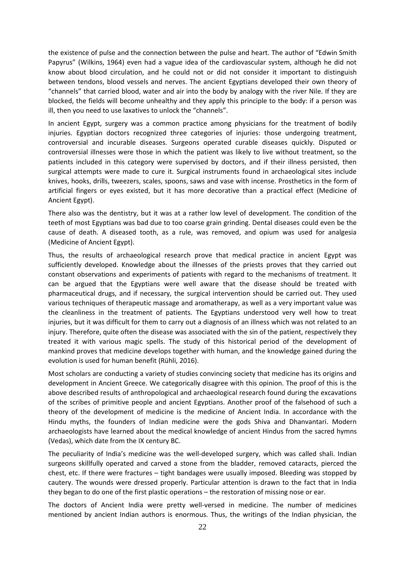the existence of pulse and the connection between the pulse and heart. The author of "Edwin Smith Papyrus" (Wilkins, 1964) even had a vague idea of the cardiovascular system, although he did not know about blood circulation, and he could not or did not consider it important to distinguish between tendons, blood vessels and nerves. The ancient Egyptians developed their own theory of "channels" that carried blood, water and air into the body by analogy with the river Nile. If they are blocked, the fields will become unhealthy and they apply this principle to the body: if a person was ill, then you need to use laxatives to unlock the "channels".

In ancient Egypt, surgery was a common practice among physicians for the treatment of bodily injuries. Egyptian doctors recognized three categories of injuries: those undergoing treatment, controversial and incurable diseases. Surgeons operated curable diseases quickly. Disputed or controversial illnesses were those in which the patient was likely to live without treatment, so the patients included in this category were supervised by doctors, and if their illness persisted, then surgical attempts were made to cure it. Surgical instruments found in archaeological sites include knives, hooks, drills, tweezers, scales, spoons, saws and vase with incense. Prosthetics in the form of artificial fingers or eyes existed, but it has more decorative than a practical effect (Medicine of Ancient Egypt).

There also was the dentistry, but it was at a rather low level of development. The condition of the teeth of most Egyptians was bad due to too coarse grain grinding. Dental diseases could even be the cause of death. A diseased tooth, as a rule, was removed, and opium was used for analgesia (Medicine of Ancient Egypt).

Thus, the results of archaeological research prove that medical practice in ancient Egypt was sufficiently developed. Knowledge about the illnesses of the priests proves that they carried out constant observations and experiments of patients with regard to the mechanisms of treatment. It can be argued that the Egyptians were well aware that the disease should be treated with pharmaceutical drugs, and if necessary, the surgical intervention should be carried out. They used various techniques of therapeutic massage and aromatherapy, as well as a very important value was the cleanliness in the treatment of patients. The Egyptians understood very well how to treat injuries, but it was difficult for them to carry out a diagnosis of an illness which was not related to an injury. Therefore, quite often the disease was associated with the sin of the patient, respectively they treated it with various magic spells. The study of this historical period of the development of mankind proves that medicine develops together with human, and the knowledge gained during the evolution is used for human benefit (Rühli, 2016).

Most scholars are conducting a variety of studies convincing society that medicine has its origins and development in Ancient Greece. We categorically disagree with this opinion. The proof of this is the above described results of anthropological and archaeological research found during the excavations of the scribes of primitive people and ancient Egyptians. Another proof of the falsehood of such a theory of the development of medicine is the medicine of Ancient India. In accordance with the Hindu myths, the founders of Indian medicine were the gods Shiva and Dhanvantari. Modern archaeologists have learned about the medical knowledge of ancient Hindus from the sacred hymns (Vedas), which date from the IX century BC.

The peculiarity of India's medicine was the well-developed surgery, which was called shali. Indian surgeons skillfully operated and carved a stone from the bladder, removed cataracts, pierced the chest, etc. If there were fractures – tight bandages were usually imposed. Bleeding was stopped by cautery. The wounds were dressed properly. Particular attention is drawn to the fact that in India they began to do one of the first plastic operations – the restoration of missing nose or ear.

The doctors of Ancient India were pretty well-versed in medicine. The number of medicines mentioned by ancient Indian authors is enormous. Thus, the writings of the Indian physician, the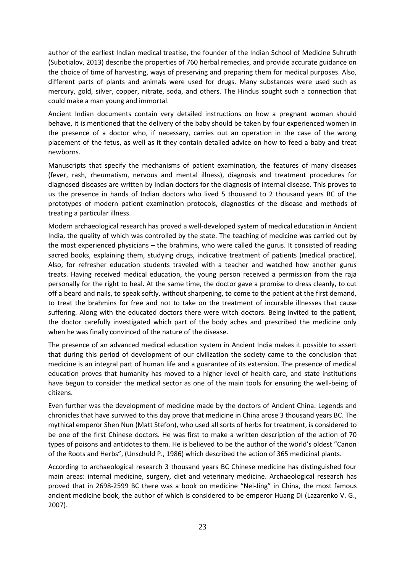author of the earliest Indian medical treatise, the founder of the Indian School of Medicine Suhruth (Subotialov, 2013) describe the properties of 760 herbal remedies, and provide accurate guidance on the choice of time of harvesting, ways of preserving and preparing them for medical purposes. Also, different parts of plants and animals were used for drugs. Many substances were used such as mercury, gold, silver, copper, nitrate, soda, and others. The Hindus sought such a connection that could make a man young and immortal.

Ancient Indian documents contain very detailed instructions on how a pregnant woman should behave, it is mentioned that the delivery of the baby should be taken by four experienced women in the presence of a doctor who, if necessary, carries out an operation in the case of the wrong placement of the fetus, as well as it they contain detailed advice on how to feed a baby and treat newborns.

Manuscripts that specify the mechanisms of patient examination, the features of many diseases (fever, rash, rheumatism, nervous and mental illness), diagnosis and treatment procedures for diagnosed diseases are written by Indian doctors for the diagnosis of internal disease. This proves to us the presence in hands of Indian doctors who lived 5 thousand to 2 thousand years BC of the prototypes of modern patient examination protocols, diagnostics of the disease and methods of treating a particular illness.

Modern archaeological research has proved a well-developed system of medical education in Ancient India, the quality of which was controlled by the state. The teaching of medicine was carried out by the most experienced physicians – the brahmins, who were called the gurus. It consisted of reading sacred books, explaining them, studying drugs, indicative treatment of patients (medical practice). Also, for refresher education students traveled with a teacher and watched how another gurus treats. Having received medical education, the young person received a permission from the raja personally for the right to heal. At the same time, the doctor gave a promise to dress cleanly, to cut off a beard and nails, to speak softly, without sharpening, to come to the patient at the first demand, to treat the brahmins for free and not to take on the treatment of incurable illnesses that cause suffering. Along with the educated doctors there were witch doctors. Being invited to the patient, the doctor carefully investigated which part of the body aches and prescribed the medicine only when he was finally convinced of the nature of the disease.

The presence of an advanced medical education system in Ancient India makes it possible to assert that during this period of development of our civilization the society came to the conclusion that medicine is an integral part of human life and a guarantee of its extension. The presence of medical education proves that humanity has moved to a higher level of health care, and state institutions have begun to consider the medical sector as one of the main tools for ensuring the well-being of citizens.

Even further was the development of medicine made by the doctors of Ancient China. Legends and chronicles that have survived to this day prove that medicine in China arose 3 thousand years BC. The mythical emperor Shen Nun (Matt Stefon), who used all sorts of herbs for treatment, is considered to be one of the first Chinese doctors. He was first to make a written description of the action of 70 types of poisons and antidotes to them. He is believed to be the author of the world's oldest "Canon of the Roots and Herbs", (Unschuld P., 1986) which described the action of 365 medicinal plants.

According to archaeological research 3 thousand years BC Chinese medicine has distinguished four main areas: internal medicine, surgery, diet and veterinary medicine. Archaeological research has proved that in 2698-2599 BC there was a book on medicine "Nei-Jing" in China, the most famous ancient medicine book, the author of which is considered to be emperor Huang Di (Lazarenko V. G., 2007).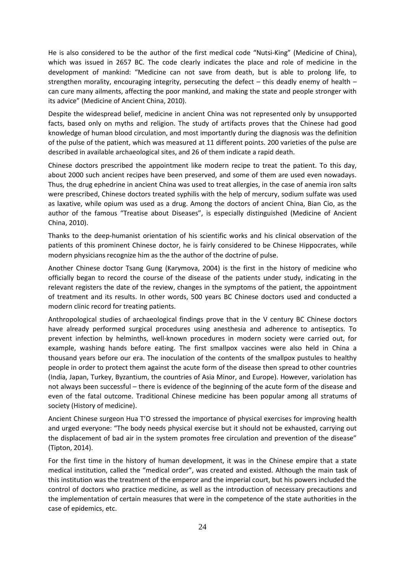He is also considered to be the author of the first medical code "Nutsi-King" (Medicine of China), which was issued in 2657 BC. The code clearly indicates the place and role of medicine in the development of mankind: "Medicine can not save from death, but is able to prolong life, to strengthen morality, encouraging integrity, persecuting the defect – this deadly enemy of health – can cure many ailments, affecting the poor mankind, and making the state and people stronger with its advice" (Medicine of Ancient China, 2010).

Despite the widespread belief, medicine in ancient China was not represented only by unsupported facts, based only on myths and religion. The study of artifacts proves that the Chinese had good knowledge of human blood circulation, and most importantly during the diagnosis was the definition of the pulse of the patient, which was measured at 11 different points. 200 varieties of the pulse are described in available archaeological sites, and 26 of them indicate a rapid death.

Chinese doctors prescribed the appointment like modern recipe to treat the patient. To this day, about 2000 such ancient recipes have been preserved, and some of them are used even nowadays. Thus, the drug ephedrine in ancient China was used to treat allergies, in the case of anemia iron salts were prescribed, Chinese doctors treated syphilis with the help of mercury, sodium sulfate was used as laxative, while opium was used as a drug. Among the doctors of ancient China, Bian Cio, as the author of the famous "Treatise about Diseases", is especially distinguished (Medicine of Ancient China, 2010).

Thanks to the deep-humanist orientation of his scientific works and his clinical observation of the patients of this prominent Chinese doctor, he is fairly considered to be Chinese Hippocrates, while modern physicians recognize him as the the author of the doctrine of pulse.

Another Chinese doctor Tsang Gung (Karymova, 2004) is the first in the history of medicine who officially began to record the course of the disease of the patients under study, indicating in the relevant registers the date of the review, changes in the symptoms of the patient, the appointment of treatment and its results. In other words, 500 years BC Chinese doctors used and conducted a modern clinic record for treating patients.

Anthropological studies of archaeological findings prove that in the V century BC Chinese doctors have already performed surgical procedures using anesthesia and adherence to antiseptics. To prevent infection by helminths, well-known procedures in modern society were carried out, for example, washing hands before eating. The first smallpox vaccines were also held in China a thousand years before our era. The inoculation of the contents of the smallpox pustules to healthy people in order to protect them against the acute form of the disease then spread to other countries (India, Japan, Turkey, Byzantium, the countries of Asia Minor, and Europe). However, variolation has not always been successful – there is evidence of the beginning of the acute form of the disease and even of the fatal outcome. Traditional Chinese medicine has been popular among all stratums of society (History of medicine).

Ancient Chinese surgeon Hua T'O stressed the importance of physical exercises for improving health and urged everyone: "The body needs physical exercise but it should not be exhausted, carrying out the displacement of bad air in the system promotes free circulation and prevention of the disease" (Tipton, 2014).

For the first time in the history of human development, it was in the Chinese empire that a state medical institution, called the "medical order", was created and existed. Although the main task of this institution was the treatment of the emperor and the imperial court, but his powers included the control of doctors who practice medicine, as well as the introduction of necessary precautions and the implementation of certain measures that were in the competence of the state authorities in the case of epidemics, etc.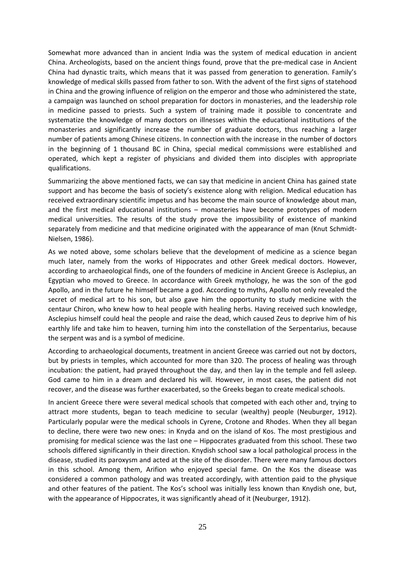Somewhat more advanced than in ancient India was the system of medical education in ancient China. Archeologists, based on the ancient things found, prove that the pre-medical case in Ancient China had dynastic traits, which means that it was passed from generation to generation. Family's knowledge of medical skills passed from father to son. With the advent of the first signs of statehood in China and the growing influence of religion on the emperor and those who administered the state, a campaign was launched on school preparation for doctors in monasteries, and the leadership role in medicine passed to priests. Such a system of training made it possible to concentrate and systematize the knowledge of many doctors on illnesses within the educational institutions of the monasteries and significantly increase the number of graduate doctors, thus reaching a larger number of patients among Chinese citizens. In connection with the increase in the number of doctors in the beginning of 1 thousand BC in China, special medical commissions were established and operated, which kept a register of physicians and divided them into disciples with appropriate qualifications.

Summarizing the above mentioned facts, we can say that medicine in ancient China has gained state support and has become the basis of society's existence along with religion. Medical education has received extraordinary scientific impetus and has become the main source of knowledge about man, and the first medical educational institutions – monasteries have become prototypes of modern medical universities. The results of the study prove the impossibility of existence of mankind separately from medicine and that medicine originated with the appearance of man (Knut Schmidt-Nielsen, 1986).

As we noted above, some scholars believe that the development of medicine as a science began much later, namely from the works of Hippocrates and other Greek medical doctors. However, according to archaeological finds, one of the founders of medicine in Ancient Greece is Asclepius, an Egyptian who moved to Greece. In accordance with Greek mythology, he was the son of the god Apollo, and in the future he himself became a god. According to myths, Apollo not only revealed the secret of medical art to his son, but also gave him the opportunity to study medicine with the centaur Chiron, who knew how to heal people with healing herbs. Having received such knowledge, Asclepius himself could heal the people and raise the dead, which caused Zeus to deprive him of his earthly life and take him to heaven, turning him into the constellation of the Serpentarius, because the serpent was and is a symbol of medicine.

According to archaeological documents, treatment in ancient Greece was carried out not by doctors, but by priests in temples, which accounted for more than 320. The process of healing was through incubation: the patient, had prayed throughout the day, and then lay in the temple and fell asleep. God came to him in a dream and declared his will. However, in most cases, the patient did not recover, and the disease was further exacerbated, so the Greeks began to create medical schools.

In ancient Greece there were several medical schools that competed with each other and, trying to attract more students, began to teach medicine to secular (wealthy) people (Neuburger, 1912). Particularly popular were the medical schools in Cyrene, Crotone and Rhodes. When they all began to decline, there were two new ones: in Knyda and on the island of Kos. The most prestigious and promising for medical science was the last one – Hippocrates graduated from this school. These two schools differed significantly in their direction. Knydish school saw a local pathological process in the disease, studied its paroxysm and acted at the site of the disorder. There were many famous doctors in this school. Among them, Arifion who enjoyed special fame. On the Kos the disease was considered a common pathology and was treated accordingly, with attention paid to the physique and other features of the patient. The Kos's school was initially less known than Knydish one, but, with the appearance of Hippocrates, it was significantly ahead of it (Neuburger, 1912).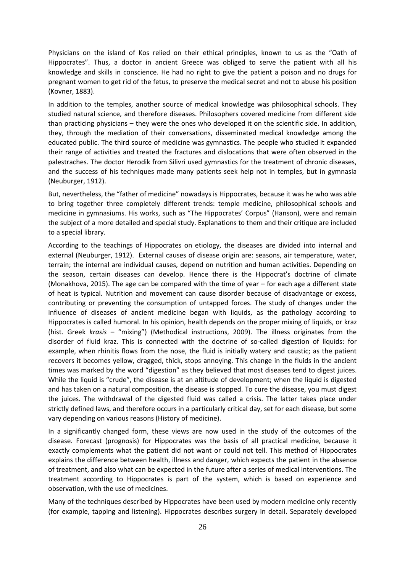Physicians on the island of Kos relied on their ethical principles, known to us as the "Oath of Hippocrates". Thus, a doctor in ancient Greece was obliged to serve the patient with all his knowledge and skills in conscience. He had no right to give the patient a poison and no drugs for pregnant women to get rid of the fetus, to preserve the medical secret and not to abuse his position (Kovner, 1883).

In addition to the temples, another source of medical knowledge was philosophical schools. They studied natural science, and therefore diseases. Philosophers covered medicine from different side than practicing physicians – they were the ones who developed it on the scientific side. In addition, they, through the mediation of their conversations, disseminated medical knowledge among the educated public. The third source of medicine was gymnastics. The people who studied it expanded their range of activities and treated the fractures and dislocations that were often observed in the palestraches. The doctor Herodik from Silivri used gymnastics for the treatment of chronic diseases, and the success of his techniques made many patients seek help not in temples, but in gymnasia (Neuburger, 1912).

But, nevertheless, the "father of medicine" nowadays is Hippocrates, because it was he who was able to bring together three completely different trends: temple medicine, philosophical schools and medicine in gymnasiums. His works, such as "The Hippocrates' Corpus" (Hanson), were and remain the subject of a more detailed and special study. Explanations to them and their critique are included to a special library.

According to the teachings of Hippocrates on etiology, the diseases are divided into internal and external (Neuburger, 1912). External causes of disease origin are: seasons, air temperature, water, terrain; the internal are individual causes, depend on nutrition and human activities. Depending on the season, certain diseases can develop. Hence there is the Hippocrat's doctrine of climate (Monakhova, 2015). The age can be compared with the time of year – for each age a different state of heat is typical. Nutrition and movement can cause disorder because of disadvantage or excess, contributing or preventing the consumption of untapped forces. The study of changes under the influence of diseases of ancient medicine began with liquids, as the pathology according to Hippocrates is called humoral. In his opinion, health depends on the proper mixing of liquids, or kraz (hist. Greek *krasis* – "mixing") (Methodical instructions, 2009). The illness originates from the disorder of fluid kraz. This is connected with the doctrine of so-called digestion of liquids: for example, when rhinitis flows from the nose, the fluid is initially watery and caustic; as the patient recovers it becomes yellow, dragged, thick, stops annoying. This change in the fluids in the ancient times was marked by the word "digestion" as they believed that most diseases tend to digest juices. While the liquid is "crude", the disease is at an altitude of development; when the liquid is digested and has taken on a natural composition, the disease is stopped. To cure the disease, you must digest the juices. The withdrawal of the digested fluid was called a crisis. The latter takes place under strictly defined laws, and therefore occurs in a particularly critical day, set for each disease, but some vary depending on various reasons (History of medicine).

In a significantly changed form, these views are now used in the study of the outcomes of the disease. Forecast (prognosis) for Hippocrates was the basis of all practical medicine, because it exactly complements what the patient did not want or could not tell. This method of Hippocrates explains the difference between health, illness and danger, which expects the patient in the absence of treatment, and also what can be expected in the future after a series of medical interventions. The treatment according to Hippocrates is part of the system, which is based on experience and observation, with the use of medicines.

Many of the techniques described by Hippocrates have been used by modern medicine only recently (for example, tapping and listening). Hippocrates describes surgery in detail. Separately developed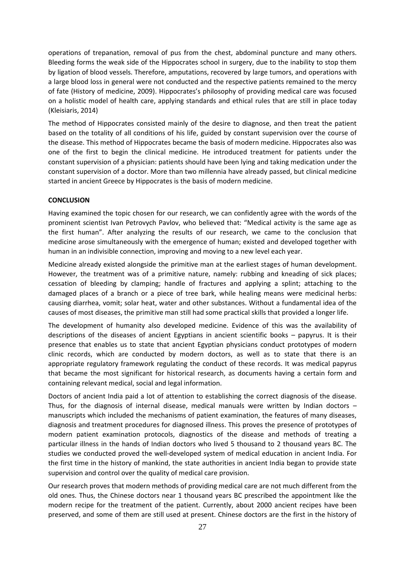operations of trepanation, removal of pus from the chest, abdominal puncture and many others. Bleeding forms the weak side of the Hippocrates school in surgery, due to the inability to stop them by ligation of blood vessels. Therefore, amputations, recovered by large tumors, and operations with a large blood loss in general were not conducted and the respective patients remained to the mercy of fate (History of medicine, 2009). Hippocrates's philosophy of providing medical care was focused on a holistic model of health care, applying standards and ethical rules that are still in place today (Kleisiaris, 2014)

The method of Hippocrates consisted mainly of the desire to diagnose, and then treat the patient based on the totality of all conditions of his life, guided by constant supervision over the course of the disease. This method of Hippocrates became the basis of modern medicine. Hippocrates also was one of the first to begin the clinical medicine. He introduced treatment for patients under the constant supervision of a physician: patients should have been lying and taking medication under the constant supervision of a doctor. More than two millennia have already passed, but clinical medicine started in ancient Greece by Hippocrates is the basis of modern medicine.

#### **CONCLUSION**

Having examined the topic chosen for our research, we can confidently agree with the words of the prominent scientist Ivan Petrovych Pavlov, who believed that: "Medical activity is the same age as the first human". After analyzing the results of our research, we came to the conclusion that medicine arose simultaneously with the emergence of human; existed and developed together with human in an indivisible connection, improving and moving to a new level each year.

Medicine already existed alongside the primitive man at the earliest stages of human development. However, the treatment was of a primitive nature, namely: rubbing and kneading of sick places; cessation of bleeding by clamping; handle of fractures and applying a splint; attaching to the damaged places of a branch or a piece of tree bark, while healing means were medicinal herbs: causing diarrhea, vomit; solar heat, water and other substances. Without a fundamental idea of the causes of most diseases, the primitive man still had some practical skills that provided a longer life.

The development of humanity also developed medicine. Evidence of this was the availability of descriptions of the diseases of ancient Egyptians in ancient scientific books – papyrus. It is their presence that enables us to state that ancient Egyptian physicians conduct prototypes of modern clinic records, which are conducted by modern doctors, as well as to state that there is an appropriate regulatory framework regulating the conduct of these records. It was medical papyrus that became the most significant for historical research, as documents having a certain form and containing relevant medical, social and legal information.

Doctors of ancient India paid a lot of attention to establishing the correct diagnosis of the disease. Thus, for the diagnosis of internal disease, medical manuals were written by Indian doctors – manuscripts which included the mechanisms of patient examination, the features of many diseases, diagnosis and treatment procedures for diagnosed illness. This proves the presence of prototypes of modern patient examination protocols, diagnostics of the disease and methods of treating a particular illness in the hands of Indian doctors who lived 5 thousand to 2 thousand years BC. The studies we conducted proved the well-developed system of medical education in ancient India. For the first time in the history of mankind, the state authorities in ancient India began to provide state supervision and control over the quality of medical care provision.

Our research proves that modern methods of providing medical care are not much different from the old ones. Thus, the Chinese doctors near 1 thousand years BC prescribed the appointment like the modern recipe for the treatment of the patient. Currently, about 2000 ancient recipes have been preserved, and some of them are still used at present. Chinese doctors are the first in the history of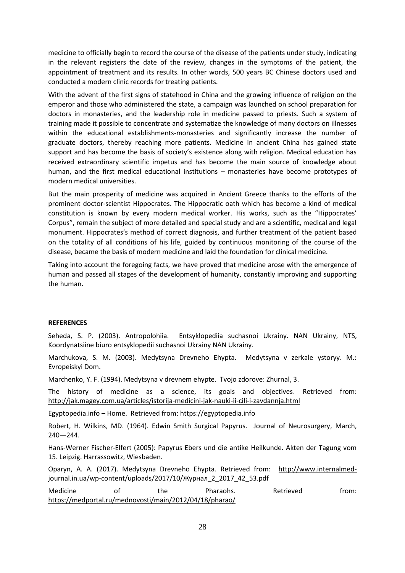medicine to officially begin to record the course of the disease of the patients under study, indicating in the relevant registers the date of the review, changes in the symptoms of the patient, the appointment of treatment and its results. In other words, 500 years BC Chinese doctors used and conducted a modern clinic records for treating patients.

With the advent of the first signs of statehood in China and the growing influence of religion on the emperor and those who administered the state, a campaign was launched on school preparation for doctors in monasteries, and the leadership role in medicine passed to priests. Such a system of training made it possible to concentrate and systematize the knowledge of many doctors on illnesses within the educational establishments-monasteries and significantly increase the number of graduate doctors, thereby reaching more patients. Medicine in ancient China has gained state support and has become the basis of society's existence along with religion. Medical education has received extraordinary scientific impetus and has become the main source of knowledge about human, and the first medical educational institutions – monasteries have become prototypes of modern medical universities.

But the main prosperity of medicine was acquired in Ancient Greece thanks to the efforts of the prominent doctor-scientist Hippocrates. The Hippocratic oath which has become a kind of medical constitution is known by every modern medical worker. His works, such as the "Hippocrates' Corpus", remain the subject of more detailed and special study and are a scientific, medical and legal monument. Hippocrates's method of correct diagnosis, and further treatment of the patient based on the totality of all conditions of his life, guided by continuous monitoring of the course of the disease, became the basis of modern medicine and laid the foundation for clinical medicine.

Taking into account the foregoing facts, we have proved that medicine arose with the emergence of human and passed all stages of the development of humanity, constantly improving and supporting the human.

#### **REFERENCES**

Seheda, S. P. (2003). Antropolohiia. Entsyklopediia suchasnoi Ukrainy. NAN Ukrainy, NTS, Koordynatsiine biuro entsyklopedii suchasnoi Ukrainy NAN Ukrainy.

Marchukova, S. М. (2003). Medytsyna Drevneho Ehypta. Medytsyna v zerkale ystoryy. М.: Evropeiskyi Dom.

Marchenko, Y. F. (1994). Medytsyna v drevnem ehypte. Tvojo zdorove: Zhurnal, 3.

The history of medicine as a science, its goals and objectives. Retrieved from: <http://jak.magey.com.ua/articles/istorija-medicini-jak-nauki-ii-cili-i-zavdannja.html>

Egyptopedia.info – Home. Retrieved from: https://egyptopedia.info

Robert, H. Wilkins, MD. (1964). Edwin Smith Surgical Papyrus. Journal of Neurosurgery, March, 240—244.

Hans-Werner Fischer-Elfert (2005): Papyrus Ebers und die antike Heilkunde. Akten der Tagung vom 15. Leipzig. Harrassowitz, Wiesbaden.

Oparyn, A. A. (2017). Medytsyna Drevneho Ehypta. Retrieved from: [http://www.internalmed](http://www.internalmed-journal.in.ua/wp-content/uploads/2017/10/Журнал_2_2017_42_53.pdf)journal.in.ua/wp-[content/uploads/2017/10/Журнал\\_2\\_2017\\_42\\_53.pdf](http://www.internalmed-journal.in.ua/wp-content/uploads/2017/10/Журнал_2_2017_42_53.pdf)

| Medicine                                                | Ωt | the | Pharaohs. | Retrieved | trom: |
|---------------------------------------------------------|----|-----|-----------|-----------|-------|
| https://medportal.ru/mednovosti/main/2012/04/18/pharao/ |    |     |           |           |       |